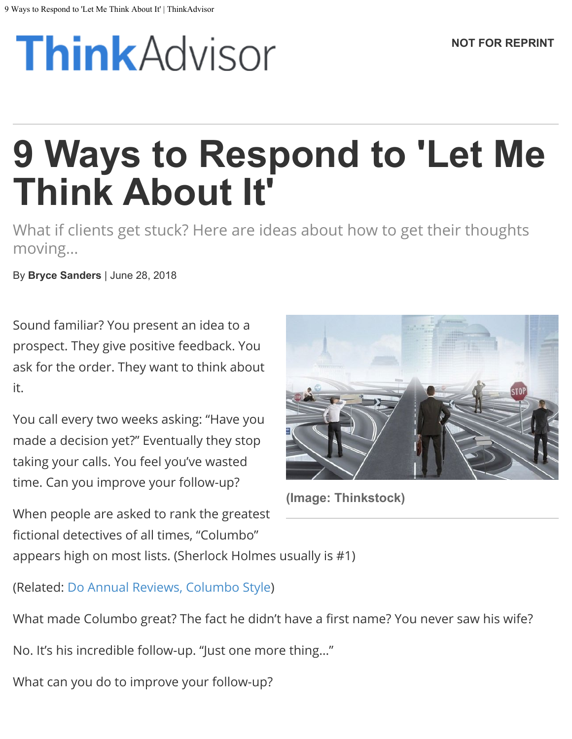# **Think** Advisor

# **9 Ways to Respond to 'Let Me Think About It'**

What if clients get stuck? Here are ideas about how to get their thoughts moving...

By **Bryce Sanders** | June 28, 2018

Sound familiar? You present an idea to a prospect. They give positive feedback. You ask for the order. They want to think about it.

You call every two weeks asking: "Have you made a decision yet?" Eventually they stop taking your calls. You feel you've wasted time. Can you improve your follow-up?



**(Image: Thinkstock)**

When people are asked to rank the greatest fictional detectives of all times, "Columbo" appears high on most lists. (Sherlock Holmes usually is #1)

(Related: [Do Annual Reviews, Columbo Style\)](https://www.thinkadvisor.com/2011/09/05/do-annual-reviews-columbo-style/)

What made Columbo great? The fact he didn't have a first name? You never saw his wife?

No. It's his incredible follow-up. "Just one more thing…"

What can you do to improve your follow-up?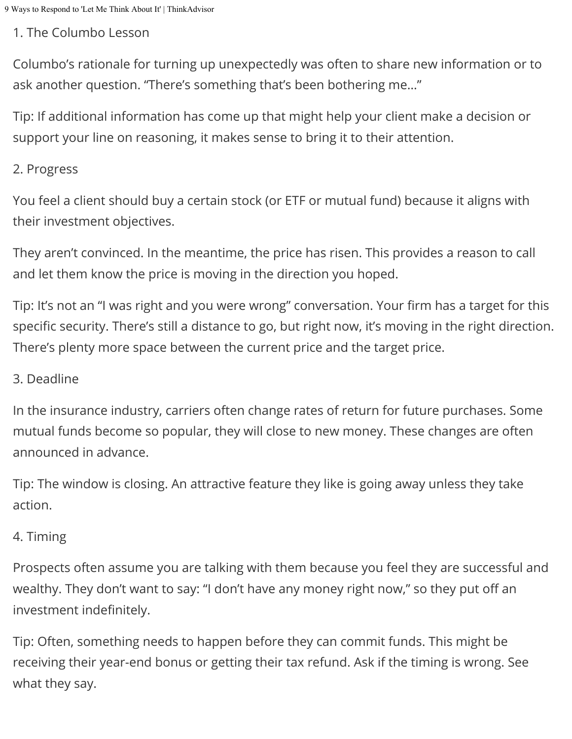#### 1. The Columbo Lesson

Columbo's rationale for turning up unexpectedly was often to share new information or to ask another question. "There's something that's been bothering me…"

Tip: If additional information has come up that might help your client make a decision or support your line on reasoning, it makes sense to bring it to their attention.

#### 2. Progress

You feel a client should buy a certain stock (or ETF or mutual fund) because it aligns with their investment objectives.

They aren't convinced. In the meantime, the price has risen. This provides a reason to call and let them know the price is moving in the direction you hoped.

Tip: It's not an "I was right and you were wrong" conversation. Your firm has a target for this specific security. There's still a distance to go, but right now, it's moving in the right direction. There's plenty more space between the current price and the target price.

#### 3. Deadline

In the insurance industry, carriers often change rates of return for future purchases. Some mutual funds become so popular, they will close to new money. These changes are often announced in advance.

Tip: The window is closing. An attractive feature they like is going away unless they take action.

# 4. Timing

Prospects often assume you are talking with them because you feel they are successful and wealthy. They don't want to say: "I don't have any money right now," so they put off an investment indefinitely.

Tip: Often, something needs to happen before they can commit funds. This might be receiving their year-end bonus or getting their tax refund. Ask if the timing is wrong. See what they say.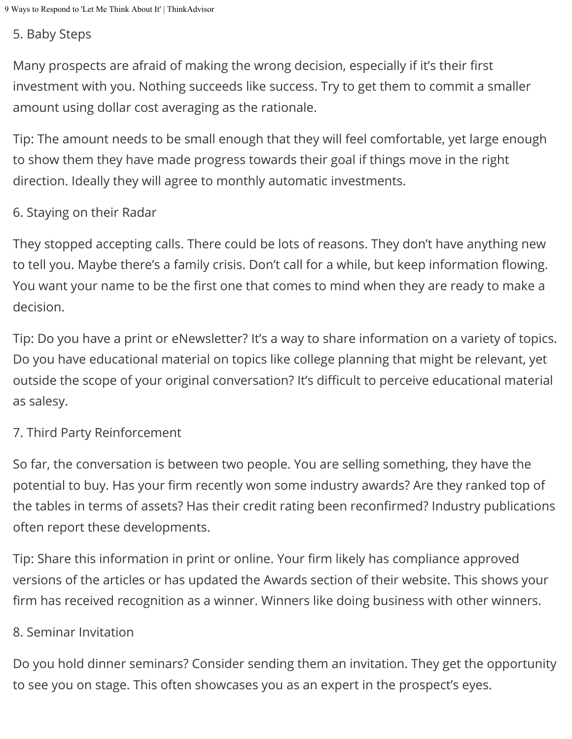#### 5. Baby Steps

Many prospects are afraid of making the wrong decision, especially if it's their first investment with you. Nothing succeeds like success. Try to get them to commit a smaller amount using dollar cost averaging as the rationale.

Tip: The amount needs to be small enough that they will feel comfortable, yet large enough to show them they have made progress towards their goal if things move in the right direction. Ideally they will agree to monthly automatic investments.

### 6. Staying on their Radar

They stopped accepting calls. There could be lots of reasons. They don't have anything new to tell you. Maybe there's a family crisis. Don't call for a while, but keep information flowing. You want your name to be the first one that comes to mind when they are ready to make a decision.

Tip: Do you have a print or eNewsletter? It's a way to share information on a variety of topics. Do you have educational material on topics like college planning that might be relevant, yet outside the scope of your original conversation? It's difficult to perceive educational material as salesy.

## 7. Third Party Reinforcement

So far, the conversation is between two people. You are selling something, they have the potential to buy. Has your firm recently won some industry awards? Are they ranked top of the tables in terms of assets? Has their credit rating been reconfirmed? Industry publications often report these developments.

Tip: Share this information in print or online. Your firm likely has compliance approved versions of the articles or has updated the Awards section of their website. This shows your firm has received recognition as a winner. Winners like doing business with other winners.

#### 8. Seminar Invitation

Do you hold dinner seminars? Consider sending them an invitation. They get the opportunity to see you on stage. This often showcases you as an expert in the prospect's eyes.